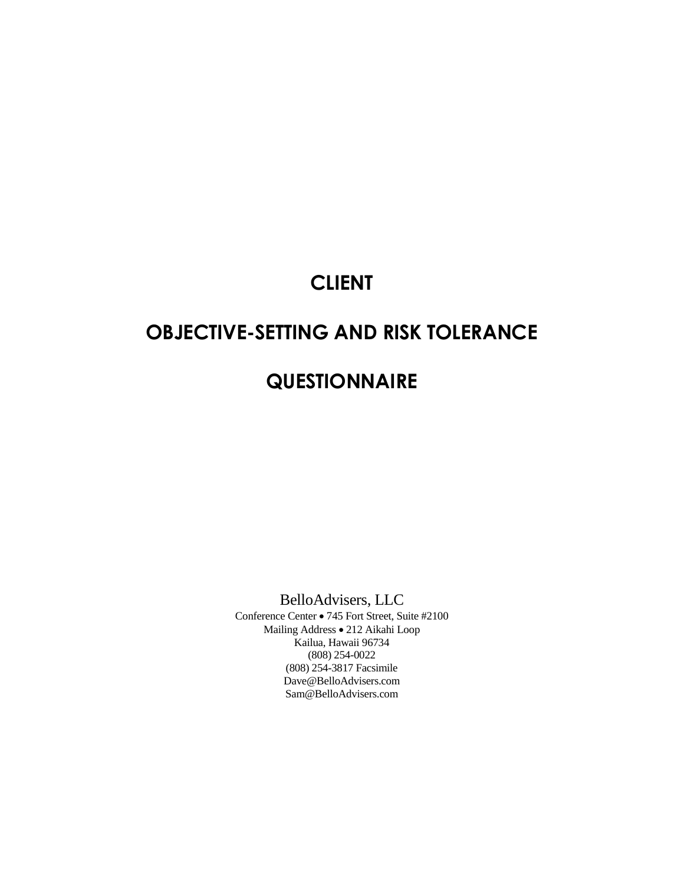## **CLIENT**

# **OBJECTIVE-SETTING AND RISK TOLERANCE**

# **QUESTIONNAIRE**

BelloAdvisers, LLC

Conference Center • 745 Fort Street, Suite #2100 Mailing Address • 212 Aikahi Loop Kailua, Hawaii 96734 (808) 254-0022 (808) 254-3817 Facsimile Dave@BelloAdvisers.com Sam@BelloAdvisers.com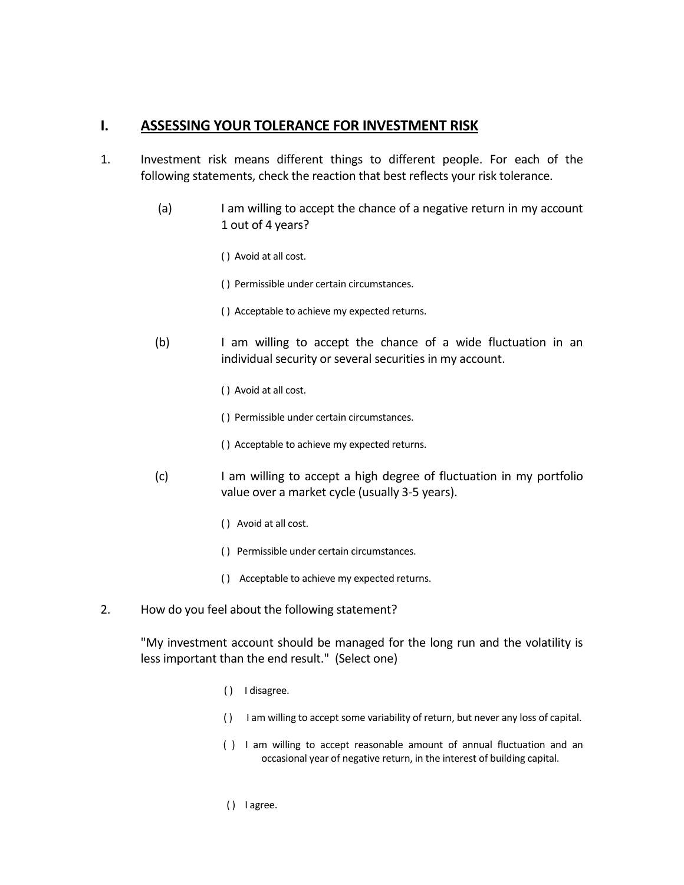### **I. ASSESSING YOUR TOLERANCE FOR INVESTMENT RISK**

- 1. Investment risk means different things to different people. For each of the following statements, check the reaction that best reflects your risk tolerance.
	- (a) I am willing to accept the chance of a negative return in my account 1 out of 4 years?
		- ( ) Avoid at all cost.
		- ( ) Permissible under certain circumstances.
		- ( ) Acceptable to achieve my expected returns.
	- (b) I am willing to accept the chance of a wide fluctuation in an individual security or several securities in my account.
		- ( ) Avoid at all cost.
		- ( ) Permissible under certain circumstances.
		- ( ) Acceptable to achieve my expected returns.
	- (c) I am willing to accept a high degree of fluctuation in my portfolio value over a market cycle (usually 3-5 years).
		- ( ) Avoid at all cost.
		- ( ) Permissible under certain circumstances.
		- ( ) Acceptable to achieve my expected returns.
- 2. How do you feel about the following statement?

"My investment account should be managed for the long run and the volatility is less important than the end result." (Select one)

- ( ) I disagree.
- ( ) I am willing to accept some variability of return, but never any loss of capital.
- ( ) I am willing to accept reasonable amount of annual fluctuation and an occasional year of negative return, in the interest of building capital.
- ( ) I agree.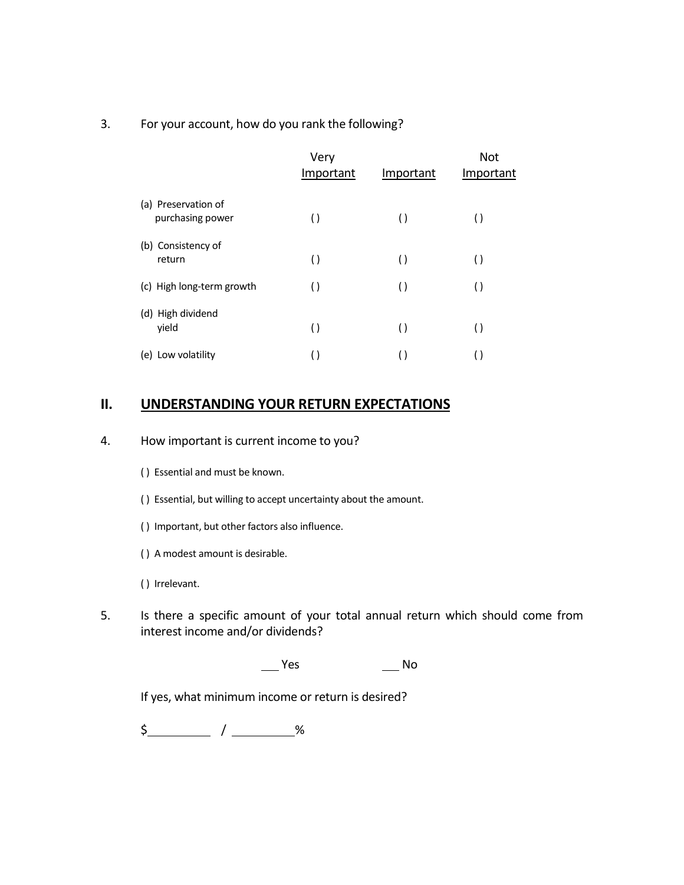#### 3. For your account, how do you rank the following?

|                                         | Very<br>Important  | Important          | <b>Not</b><br>Important |
|-----------------------------------------|--------------------|--------------------|-------------------------|
| (a) Preservation of<br>purchasing power | $\left(\right)$    | $\left( \ \right)$ | $\left( \ \right)$      |
| (b) Consistency of<br>return            | $\left( \ \right)$ | $\left(\right)$    | $\left( \ \right)$      |
| (c) High long-term growth               | $\left( \ \right)$ | $\left( \ \right)$ | $\left( \right)$        |
| (d) High dividend<br>yield              | $\left( \ \right)$ | $\left( \ \right)$ | $\left( \ \right)$      |
| (e) Low volatility                      | $\left( \ \right)$ |                    | $\left( \right)$        |

### **II. UNDERSTANDING YOUR RETURN EXPECTATIONS**

#### 4. How important is current income to you?

- ( ) Essential and must be known.
- ( ) Essential, but willing to accept uncertainty about the amount.
- ( ) Important, but other factors also influence.
- ( ) A modest amount is desirable.
- ( ) Irrelevant.
- 5. Is there a specific amount of your total annual return which should come from interest income and/or dividends?

\_\_\_\_ Yes \_\_\_\_\_\_ No

If yes, what minimum income or return is desired?

 $\frac{1}{2}$  /  $\frac{1}{2}$  %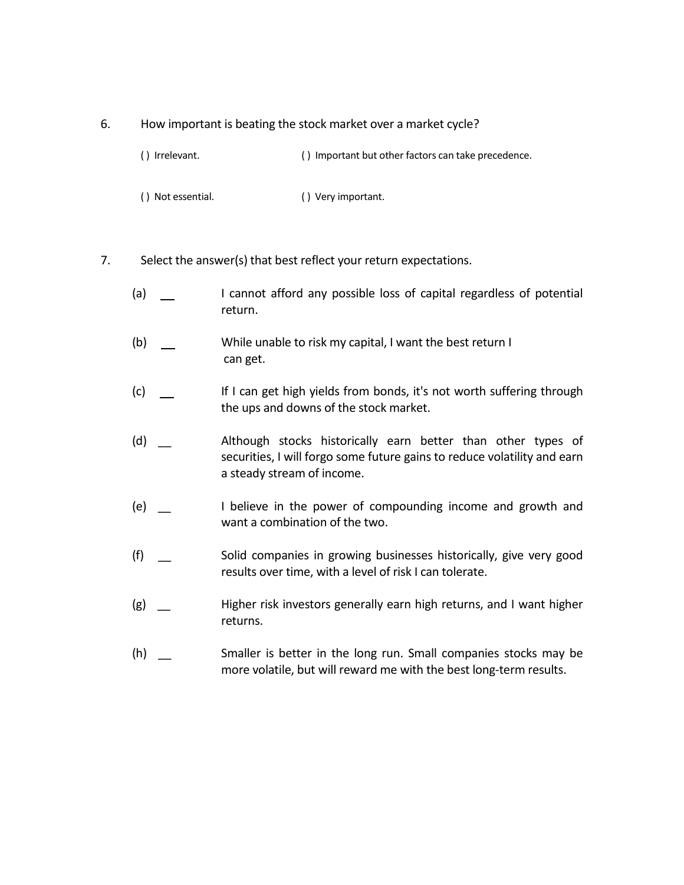#### 6. How important is beating the stock market over a market cycle?

- () Irrelevant. ( ) Important but other factors can take precedence.
- ( ) Not essential. ( ) Very important.
- 7. Select the answer(s) that best reflect your return expectations.
	- (a)  $\qquad \qquad$  I cannot afford any possible loss of capital regardless of potential return.
	- (b) While unable to risk my capital, I want the best return I can get.
	- (c) If I can get high yields from bonds, it's not worth suffering through the ups and downs of the stock market.
	- (d) Although stocks historically earn better than other types of securities, I will forgo some future gains to reduce volatility and earn a steady stream of income.
	- (e) \_\_ I believe in the power of compounding income and growth and want a combination of the two.
	- (f) \_\_ Solid companies in growing businesses historically, give very good results over time, with a level of risk I can tolerate.
	- (g) \_\_ Higher risk investors generally earn high returns, and I want higher returns.
	- (h) \_\_ Smaller is better in the long run. Small companies stocks may be more volatile, but will reward me with the best long-term results.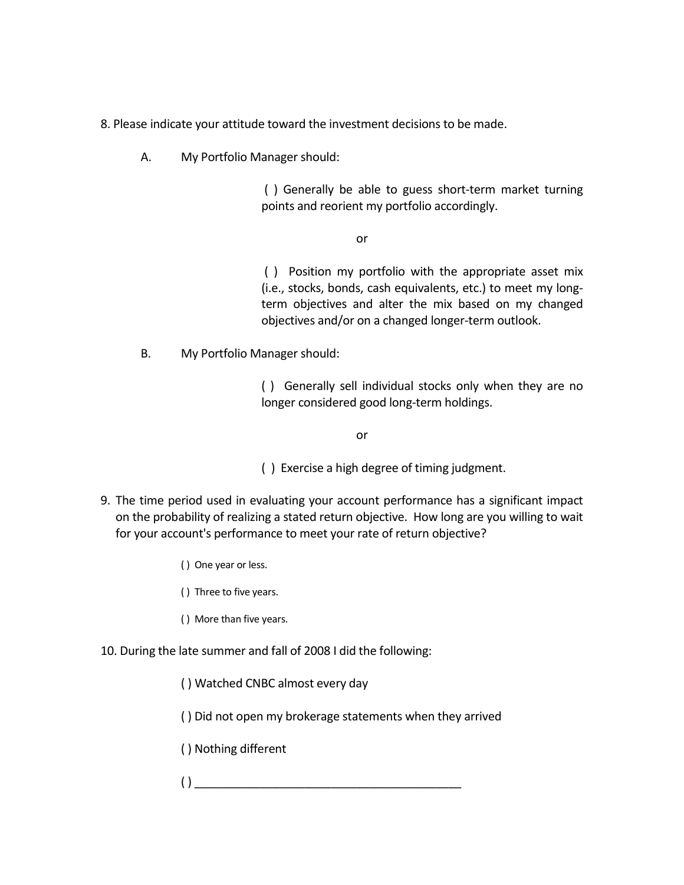8. Please indicate your attitude toward the investment decisions to be made.

A. My Portfolio Manager should:

( ) Generally be able to guess short-term market turning points and reorient my portfolio accordingly.

or

( ) Position my portfolio with the appropriate asset mix (i.e., stocks, bonds, cash equivalents, etc.) to meet my longterm objectives and alter the mix based on my changed objectives and/or on a changed longer-term outlook.

B. My Portfolio Manager should:

( ) Generally sell individual stocks only when they are no longer considered good long-term holdings.

or

( ) Exercise a high degree of timing judgment.

- 9. The time period used in evaluating your account performance has a significant impact on the probability of realizing a stated return objective. How long are you willing to wait for your account's performance to meet your rate of return objective?
	- ( ) One year or less.
	- ( ) Three to five years.
	- ( ) More than five years.
- 10. During the late summer and fall of 2008 I did the following:
	- ( ) Watched CNBC almost every day
	- ( ) Did not open my brokerage statements when they arrived
	- ( ) Nothing different
	- $\overline{a}$  ( )